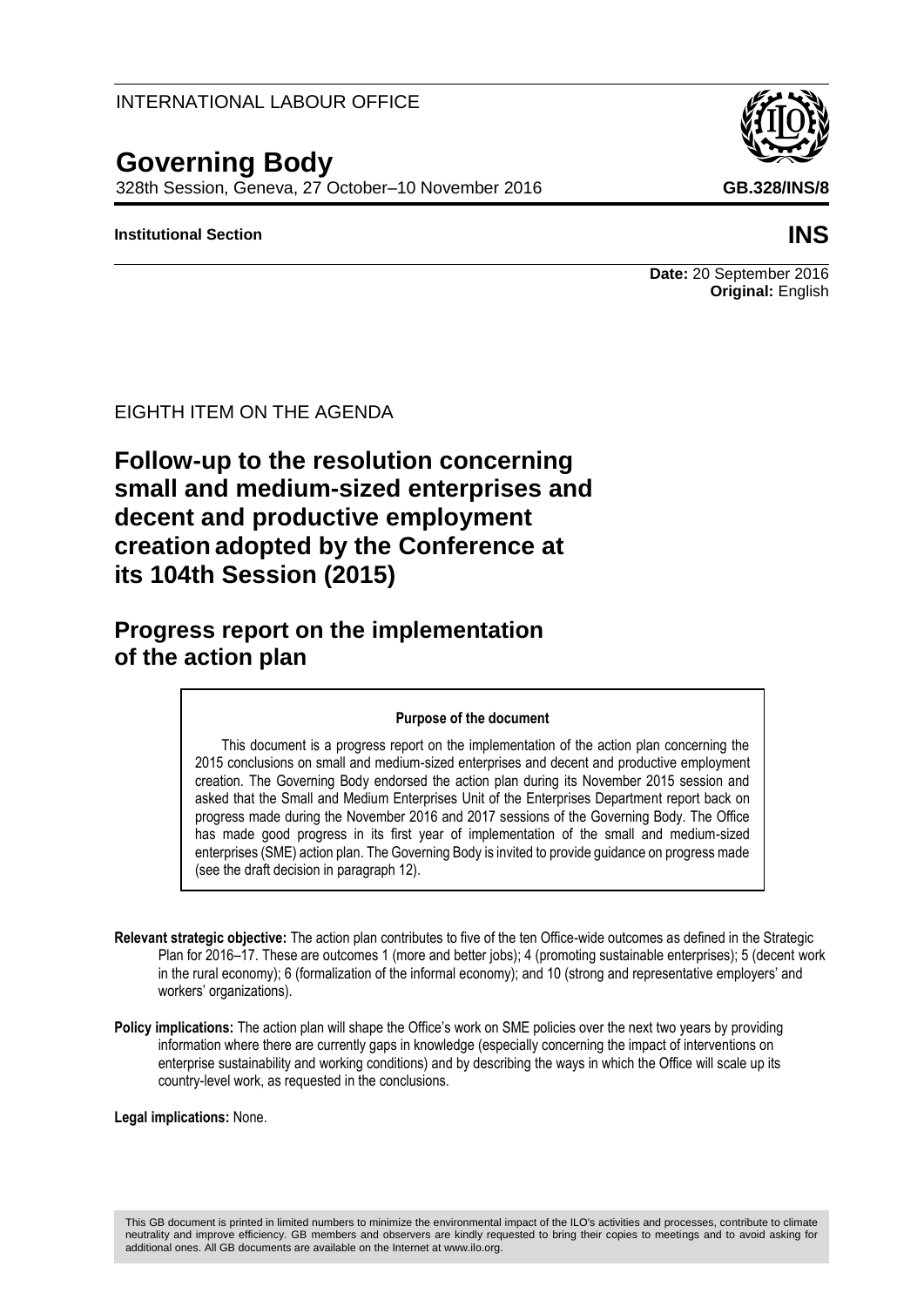### INTERNATIONAL LABOUR OFFICE

# **Governing Body**

328th Session, Geneva, 27 October–10 November 2016 **GB.328/INS/8**

#### **Institutional Section INS**

**Date:** 20 September 2016 **Original:** English

EIGHTH ITEM ON THE AGENDA

**Follow-up to the resolution concerning small and medium-sized enterprises and decent and productive employment creation adopted by the Conference at its 104th Session (2015)**

**Progress report on the implementation of the action plan**

#### **Purpose of the document**

This document is a progress report on the implementation of the action plan concerning the 2015 conclusions on small and medium-sized enterprises and decent and productive employment creation. The Governing Body endorsed the action plan during its November 2015 session and asked that the Small and Medium Enterprises Unit of the Enterprises Department report back on progress made during the November 2016 and 2017 sessions of the Governing Body. The Office has made good progress in its first year of implementation of the small and medium-sized enterprises (SME) action plan. The Governing Body is invited to provide guidance on progress made (see the draft decision in paragraph 12).

- **Relevant strategic objective:** The action plan contributes to five of the ten Office-wide outcomes as defined in the Strategic Plan for 2016–17. These are outcomes 1 (more and better jobs); 4 (promoting sustainable enterprises); 5 (decent work in the rural economy); 6 (formalization of the informal economy); and 10 (strong and representative employers' and workers' organizations).
- **Policy implications:** The action plan will shape the Office's work on SME policies over the next two years by providing information where there are currently gaps in knowledge (especially concerning the impact of interventions on enterprise sustainability and working conditions) and by describing the ways in which the Office will scale up its country-level work, as requested in the conclusions.

**Legal implications:** None.

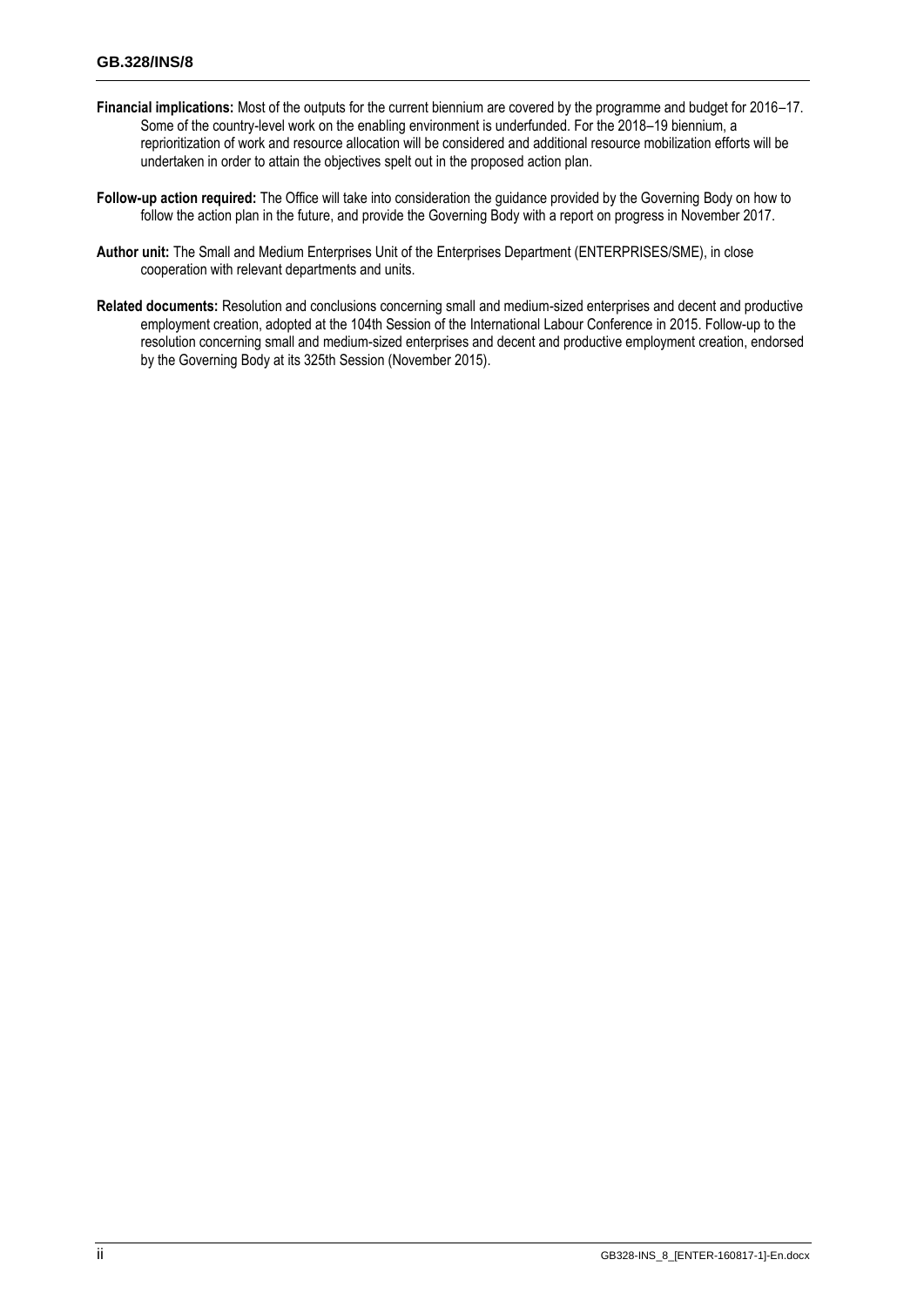- **Financial implications:** Most of the outputs for the current biennium are covered by the programme and budget for 2016–17. Some of the country-level work on the enabling environment is underfunded. For the 2018–19 biennium, a reprioritization of work and resource allocation will be considered and additional resource mobilization efforts will be undertaken in order to attain the objectives spelt out in the proposed action plan.
- **Follow-up action required:** The Office will take into consideration the guidance provided by the Governing Body on how to follow the action plan in the future, and provide the Governing Body with a report on progress in November 2017.
- **Author unit:** The Small and Medium Enterprises Unit of the Enterprises Department (ENTERPRISES/SME), in close cooperation with relevant departments and units.
- **Related documents:** Resolution and conclusions concerning small and medium-sized enterprises and decent and productive employment creation, adopted at the 104th Session of the International Labour Conference in 2015. Follow-up to the resolution concerning small and medium-sized enterprises and decent and productive employment creation, endorsed by the Governing Body at its 325th Session (November 2015).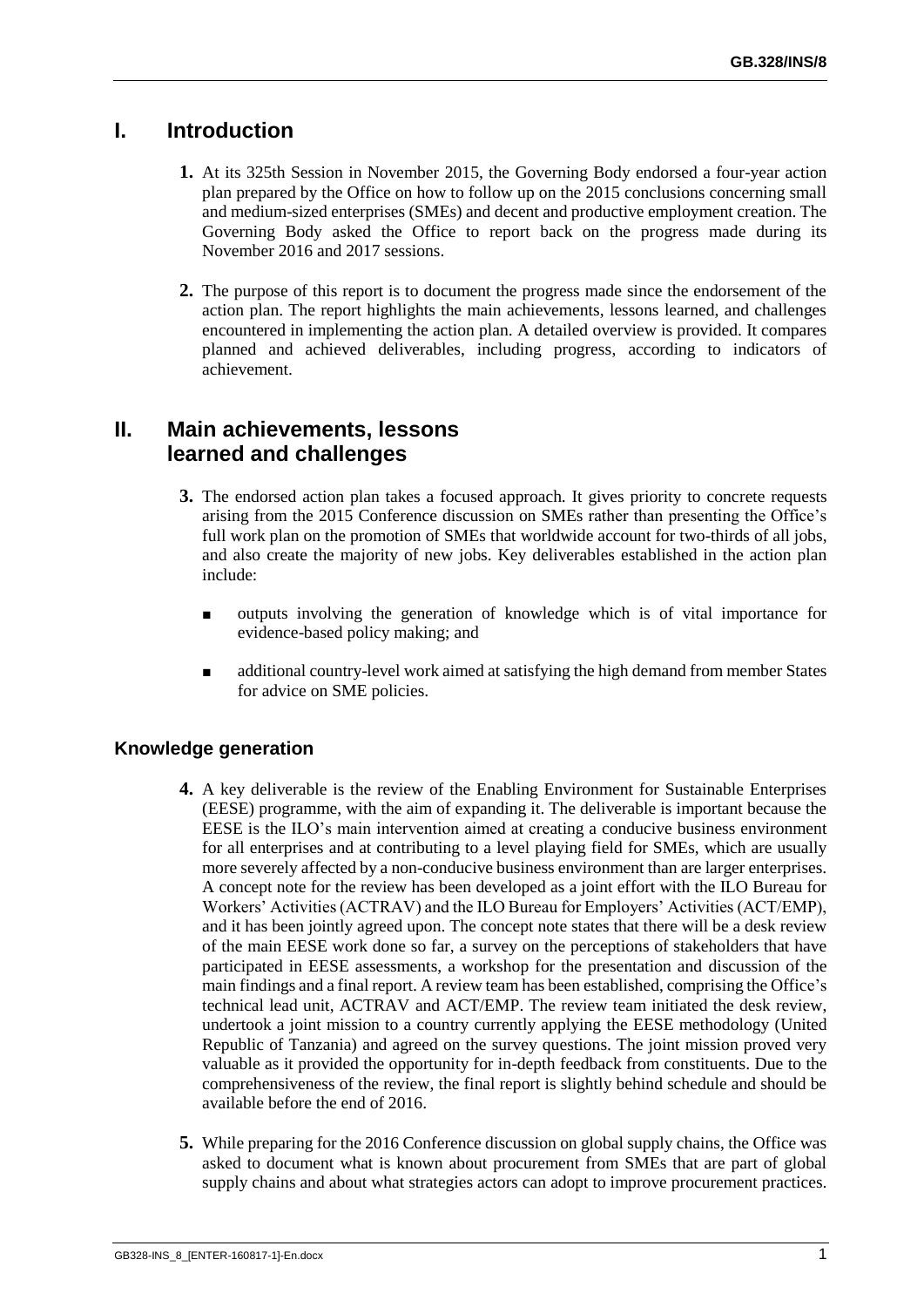## **I. Introduction**

- **1.** At its 325th Session in November 2015, the Governing Body endorsed a four-year action plan prepared by the Office on how to follow up on the 2015 conclusions concerning small and medium-sized enterprises (SMEs) and decent and productive employment creation. The Governing Body asked the Office to report back on the progress made during its November 2016 and 2017 sessions.
- **2.** The purpose of this report is to document the progress made since the endorsement of the action plan. The report highlights the main achievements, lessons learned, and challenges encountered in implementing the action plan. A detailed overview is provided. It compares planned and achieved deliverables, including progress, according to indicators of achievement.

## **II. Main achievements, lessons learned and challenges**

- **3.** The endorsed action plan takes a focused approach. It gives priority to concrete requests arising from the 2015 Conference discussion on SMEs rather than presenting the Office's full work plan on the promotion of SMEs that worldwide account for two-thirds of all jobs, and also create the majority of new jobs. Key deliverables established in the action plan include:
	- outputs involving the generation of knowledge which is of vital importance for evidence-based policy making; and
	- additional country-level work aimed at satisfying the high demand from member States for advice on SME policies.

### **Knowledge generation**

- **4.** A key deliverable is the review of the Enabling Environment for Sustainable Enterprises (EESE) programme, with the aim of expanding it. The deliverable is important because the EESE is the ILO's main intervention aimed at creating a conducive business environment for all enterprises and at contributing to a level playing field for SMEs, which are usually more severely affected by a non-conducive business environment than are larger enterprises. A concept note for the review has been developed as a joint effort with the ILO Bureau for Workers' Activities (ACTRAV) and the ILO Bureau for Employers' Activities (ACT/EMP), and it has been jointly agreed upon. The concept note states that there will be a desk review of the main EESE work done so far, a survey on the perceptions of stakeholders that have participated in EESE assessments, a workshop for the presentation and discussion of the main findings and a final report. A review team has been established, comprising the Office's technical lead unit, ACTRAV and ACT/EMP. The review team initiated the desk review, undertook a joint mission to a country currently applying the EESE methodology (United Republic of Tanzania) and agreed on the survey questions. The joint mission proved very valuable as it provided the opportunity for in-depth feedback from constituents. Due to the comprehensiveness of the review, the final report is slightly behind schedule and should be available before the end of 2016.
- **5.** While preparing for the 2016 Conference discussion on global supply chains, the Office was asked to document what is known about procurement from SMEs that are part of global supply chains and about what strategies actors can adopt to improve procurement practices.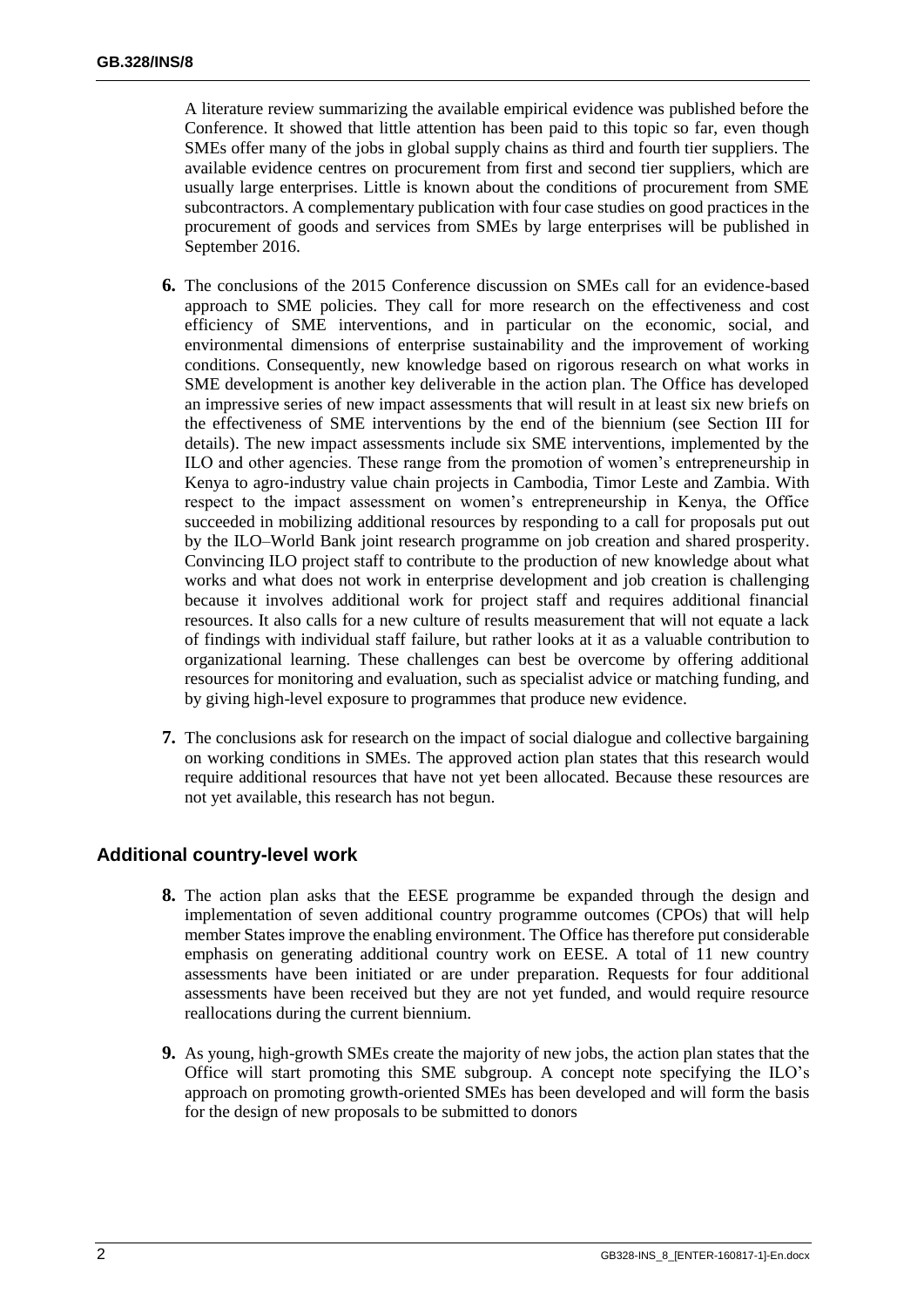A literature review summarizing the available empirical evidence was published before the Conference. It showed that little attention has been paid to this topic so far, even though SMEs offer many of the jobs in global supply chains as third and fourth tier suppliers. The available evidence centres on procurement from first and second tier suppliers, which are usually large enterprises. Little is known about the conditions of procurement from SME subcontractors. A complementary publication with four case studies on good practices in the procurement of goods and services from SMEs by large enterprises will be published in September 2016.

- **6.** The conclusions of the 2015 Conference discussion on SMEs call for an evidence-based approach to SME policies. They call for more research on the effectiveness and cost efficiency of SME interventions, and in particular on the economic, social, and environmental dimensions of enterprise sustainability and the improvement of working conditions. Consequently, new knowledge based on rigorous research on what works in SME development is another key deliverable in the action plan. The Office has developed an impressive series of new impact assessments that will result in at least six new briefs on the effectiveness of SME interventions by the end of the biennium (see Section III for details). The new impact assessments include six SME interventions, implemented by the ILO and other agencies. These range from the promotion of women's entrepreneurship in Kenya to agro-industry value chain projects in Cambodia, Timor Leste and Zambia. With respect to the impact assessment on women's entrepreneurship in Kenya, the Office succeeded in mobilizing additional resources by responding to a call for proposals put out by the ILO–World Bank joint research programme on job creation and shared prosperity. Convincing ILO project staff to contribute to the production of new knowledge about what works and what does not work in enterprise development and job creation is challenging because it involves additional work for project staff and requires additional financial resources. It also calls for a new culture of results measurement that will not equate a lack of findings with individual staff failure, but rather looks at it as a valuable contribution to organizational learning. These challenges can best be overcome by offering additional resources for monitoring and evaluation, such as specialist advice or matching funding, and by giving high-level exposure to programmes that produce new evidence.
- **7.** The conclusions ask for research on the impact of social dialogue and collective bargaining on working conditions in SMEs. The approved action plan states that this research would require additional resources that have not yet been allocated. Because these resources are not yet available, this research has not begun.

### **Additional country-level work**

- **8.** The action plan asks that the EESE programme be expanded through the design and implementation of seven additional country programme outcomes (CPOs) that will help member States improve the enabling environment. The Office has therefore put considerable emphasis on generating additional country work on EESE. A total of 11 new country assessments have been initiated or are under preparation. Requests for four additional assessments have been received but they are not yet funded, and would require resource reallocations during the current biennium.
- **9.** As young, high-growth SMEs create the majority of new jobs, the action plan states that the Office will start promoting this SME subgroup. A concept note specifying the ILO's approach on promoting growth-oriented SMEs has been developed and will form the basis for the design of new proposals to be submitted to donors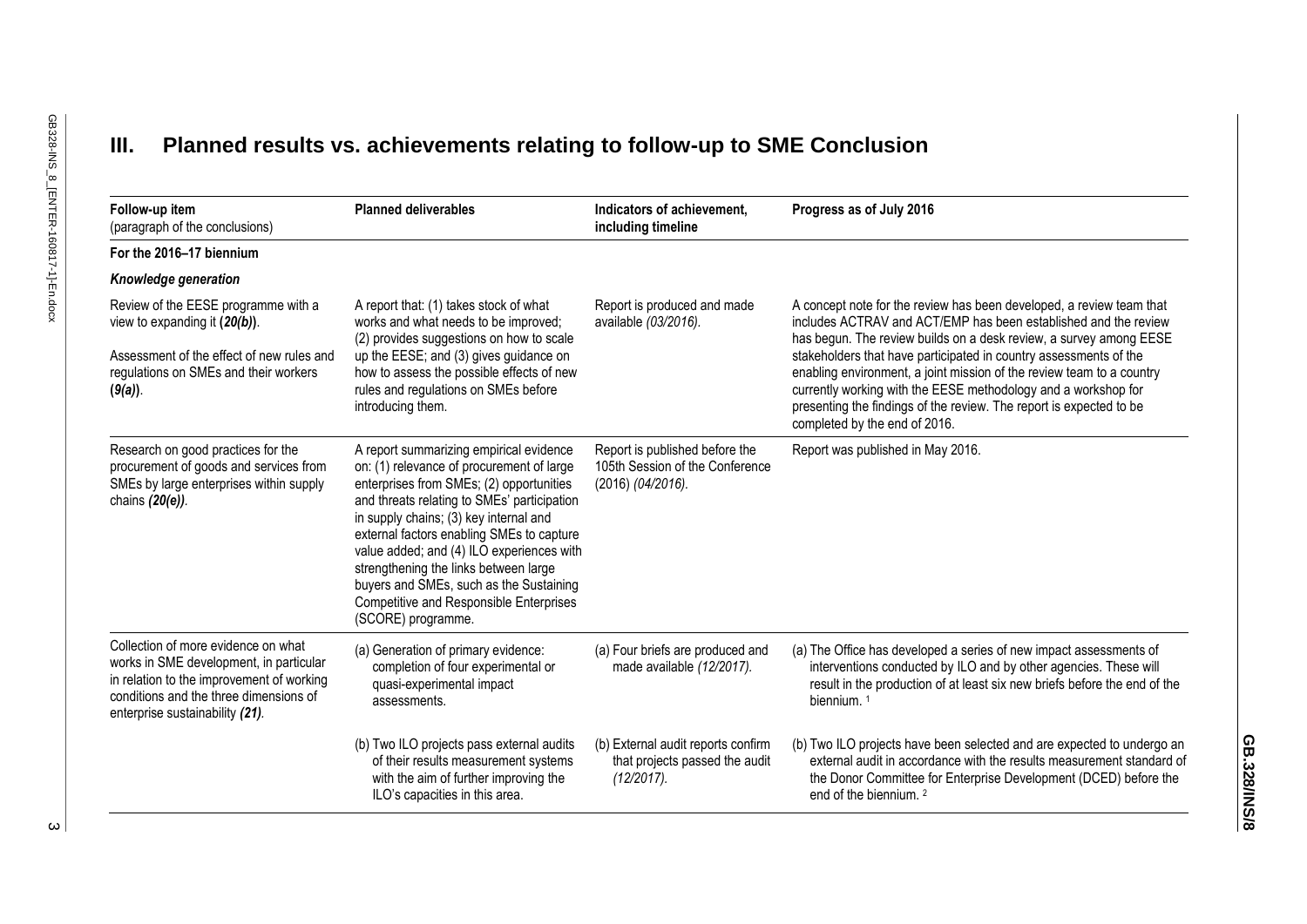## **III. Planned results vs. achievements relating to follow-up to SME Conclusion**

| Follow-up item<br>(paragraph of the conclusions)                                                                                                                                                         | <b>Planned deliverables</b>                                                                                                                                                                                                                                                                                                                                                                                                                                              | Indicators of achievement.<br>including timeline                                       | Progress as of July 2016                                                                                                                                                                                                                                                                                                                                                                                                                                                                                                              |
|----------------------------------------------------------------------------------------------------------------------------------------------------------------------------------------------------------|--------------------------------------------------------------------------------------------------------------------------------------------------------------------------------------------------------------------------------------------------------------------------------------------------------------------------------------------------------------------------------------------------------------------------------------------------------------------------|----------------------------------------------------------------------------------------|---------------------------------------------------------------------------------------------------------------------------------------------------------------------------------------------------------------------------------------------------------------------------------------------------------------------------------------------------------------------------------------------------------------------------------------------------------------------------------------------------------------------------------------|
| For the 2016-17 biennium                                                                                                                                                                                 |                                                                                                                                                                                                                                                                                                                                                                                                                                                                          |                                                                                        |                                                                                                                                                                                                                                                                                                                                                                                                                                                                                                                                       |
| Knowledge generation                                                                                                                                                                                     |                                                                                                                                                                                                                                                                                                                                                                                                                                                                          |                                                                                        |                                                                                                                                                                                                                                                                                                                                                                                                                                                                                                                                       |
| Review of the EESE programme with a<br>view to expanding it $(20(b))$ .                                                                                                                                  | A report that: (1) takes stock of what<br>works and what needs to be improved;<br>(2) provides suggestions on how to scale<br>up the EESE; and (3) gives guidance on<br>how to assess the possible effects of new<br>rules and regulations on SMEs before<br>introducing them.                                                                                                                                                                                           | Report is produced and made<br>available (03/2016).                                    | A concept note for the review has been developed, a review team that<br>includes ACTRAV and ACT/EMP has been established and the review<br>has begun. The review builds on a desk review, a survey among EESE<br>stakeholders that have participated in country assessments of the<br>enabling environment, a joint mission of the review team to a country<br>currently working with the EESE methodology and a workshop for<br>presenting the findings of the review. The report is expected to be<br>completed by the end of 2016. |
| Assessment of the effect of new rules and<br>regulations on SMEs and their workers<br>(9(a)).                                                                                                            |                                                                                                                                                                                                                                                                                                                                                                                                                                                                          |                                                                                        |                                                                                                                                                                                                                                                                                                                                                                                                                                                                                                                                       |
| Research on good practices for the<br>procurement of goods and services from<br>SMEs by large enterprises within supply<br>chains (20(e)).                                                               | A report summarizing empirical evidence<br>on: (1) relevance of procurement of large<br>enterprises from SMEs; (2) opportunities<br>and threats relating to SMEs' participation<br>in supply chains; (3) key internal and<br>external factors enabling SMEs to capture<br>value added; and (4) ILO experiences with<br>strengthening the links between large<br>buyers and SMEs, such as the Sustaining<br>Competitive and Responsible Enterprises<br>(SCORE) programme. | Report is published before the<br>105th Session of the Conference<br>(2016) (04/2016). | Report was published in May 2016.                                                                                                                                                                                                                                                                                                                                                                                                                                                                                                     |
| Collection of more evidence on what<br>works in SME development, in particular<br>in relation to the improvement of working<br>conditions and the three dimensions of<br>enterprise sustainability (21). | (a) Generation of primary evidence:<br>completion of four experimental or<br>quasi-experimental impact<br>assessments.                                                                                                                                                                                                                                                                                                                                                   | (a) Four briefs are produced and<br>made available (12/2017).                          | (a) The Office has developed a series of new impact assessments of<br>interventions conducted by ILO and by other agencies. These will<br>result in the production of at least six new briefs before the end of the<br>biennium. <sup>1</sup>                                                                                                                                                                                                                                                                                         |
|                                                                                                                                                                                                          | (b) Two ILO projects pass external audits<br>of their results measurement systems<br>with the aim of further improving the<br>ILO's capacities in this area.                                                                                                                                                                                                                                                                                                             | (b) External audit reports confirm<br>that projects passed the audit<br>$(12/2017)$ .  | (b) Two ILO projects have been selected and are expected to undergo an<br>external audit in accordance with the results measurement standard of<br>the Donor Committee for Enterprise Development (DCED) before the<br>end of the biennium. 2                                                                                                                                                                                                                                                                                         |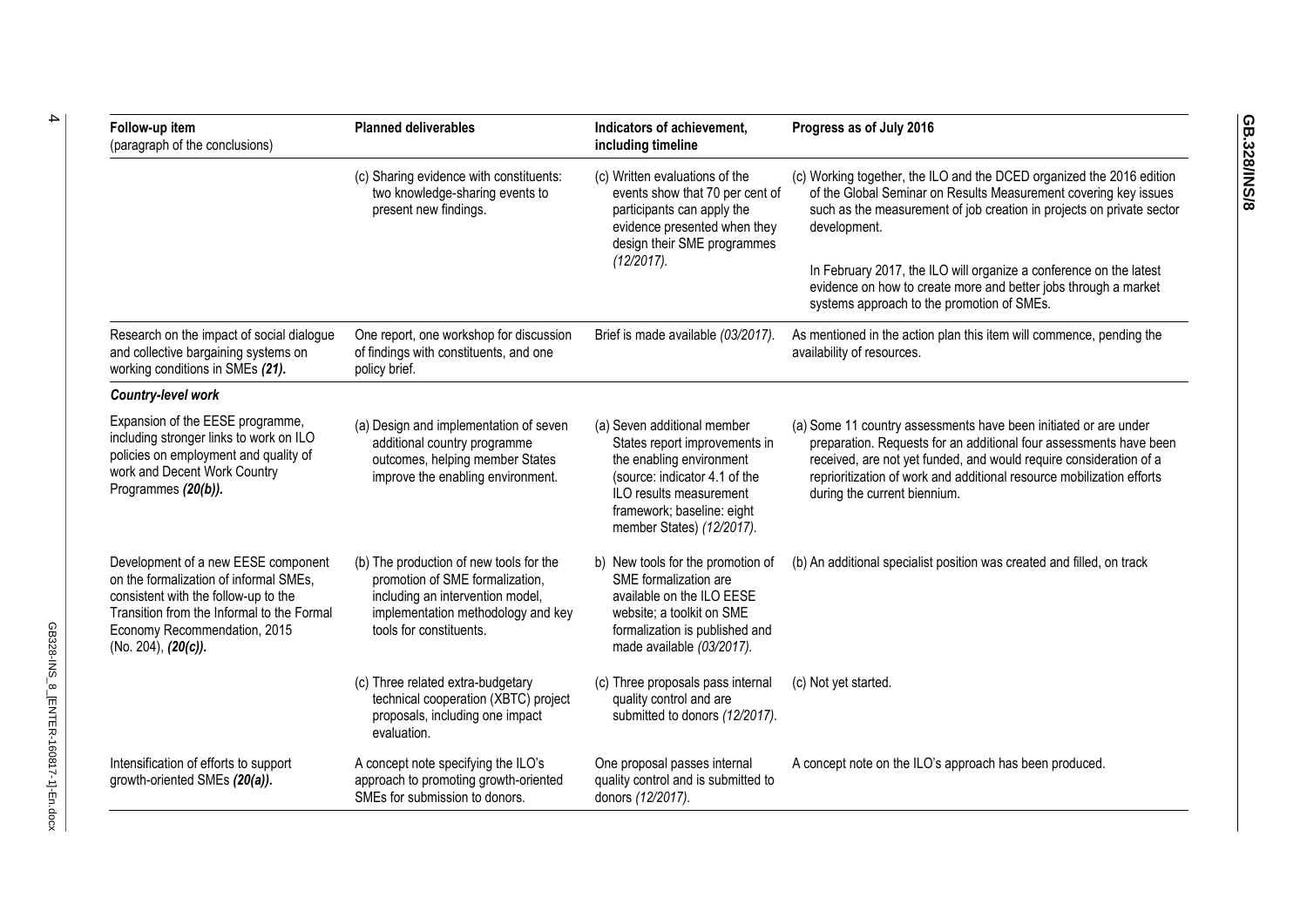| Follow-up item<br>(paragraph of the conclusions)                                                                                                                                                                              | <b>Planned deliverables</b>                                                                                                                                                     | Indicators of achievement,<br>including timeline                                                                                                                                                                | Progress as of July 2016                                                                                                                                                                                                                                                                                              |
|-------------------------------------------------------------------------------------------------------------------------------------------------------------------------------------------------------------------------------|---------------------------------------------------------------------------------------------------------------------------------------------------------------------------------|-----------------------------------------------------------------------------------------------------------------------------------------------------------------------------------------------------------------|-----------------------------------------------------------------------------------------------------------------------------------------------------------------------------------------------------------------------------------------------------------------------------------------------------------------------|
|                                                                                                                                                                                                                               | (c) Sharing evidence with constituents:<br>two knowledge-sharing events to<br>present new findings.                                                                             | (c) Written evaluations of the<br>events show that 70 per cent of<br>participants can apply the<br>evidence presented when they<br>design their SME programmes<br>(12/2017).                                    | (c) Working together, the ILO and the DCED organized the 2016 edition<br>of the Global Seminar on Results Measurement covering key issues<br>such as the measurement of job creation in projects on private sector<br>development.                                                                                    |
|                                                                                                                                                                                                                               |                                                                                                                                                                                 |                                                                                                                                                                                                                 | In February 2017, the ILO will organize a conference on the latest<br>evidence on how to create more and better jobs through a market<br>systems approach to the promotion of SMEs.                                                                                                                                   |
| Research on the impact of social dialogue<br>and collective bargaining systems on<br>working conditions in SMEs (21).                                                                                                         | One report, one workshop for discussion<br>of findings with constituents, and one<br>policy brief.                                                                              | Brief is made available (03/2017).                                                                                                                                                                              | As mentioned in the action plan this item will commence, pending the<br>availability of resources.                                                                                                                                                                                                                    |
| Country-level work                                                                                                                                                                                                            |                                                                                                                                                                                 |                                                                                                                                                                                                                 |                                                                                                                                                                                                                                                                                                                       |
| Expansion of the EESE programme,<br>including stronger links to work on ILO<br>policies on employment and quality of<br>work and Decent Work Country<br>Programmes (20(b)).                                                   | (a) Design and implementation of seven<br>additional country programme<br>outcomes, helping member States<br>improve the enabling environment.                                  | (a) Seven additional member<br>States report improvements in<br>the enabling environment<br>(source: indicator 4.1 of the<br>ILO results measurement<br>framework; baseline: eight<br>member States) (12/2017). | (a) Some 11 country assessments have been initiated or are under<br>preparation. Requests for an additional four assessments have been<br>received, are not yet funded, and would require consideration of a<br>reprioritization of work and additional resource mobilization efforts<br>during the current biennium. |
| Development of a new EESE component<br>on the formalization of informal SMEs,<br>consistent with the follow-up to the<br>Transition from the Informal to the Formal<br>Economy Recommendation, 2015<br>(No. 204), $(20(c))$ . | (b) The production of new tools for the<br>promotion of SME formalization,<br>including an intervention model,<br>implementation methodology and key<br>tools for constituents. | b) New tools for the promotion of<br>SME formalization are<br>available on the ILO EESE<br>website; a toolkit on SME<br>formalization is published and<br>made available (03/2017).                             | (b) An additional specialist position was created and filled, on track                                                                                                                                                                                                                                                |
|                                                                                                                                                                                                                               | (c) Three related extra-budgetary<br>technical cooperation (XBTC) project<br>proposals, including one impact<br>evaluation.                                                     | (c) Three proposals pass internal<br>quality control and are<br>submitted to donors (12/2017).                                                                                                                  | (c) Not yet started.                                                                                                                                                                                                                                                                                                  |
| Intensification of efforts to support<br>growth-oriented SMEs (20(a)).                                                                                                                                                        | A concept note specifying the ILO's<br>approach to promoting growth-oriented<br>SMEs for submission to donors.                                                                  | One proposal passes internal<br>quality control and is submitted to<br>donors (12/2017).                                                                                                                        | A concept note on the ILO's approach has been produced.                                                                                                                                                                                                                                                               |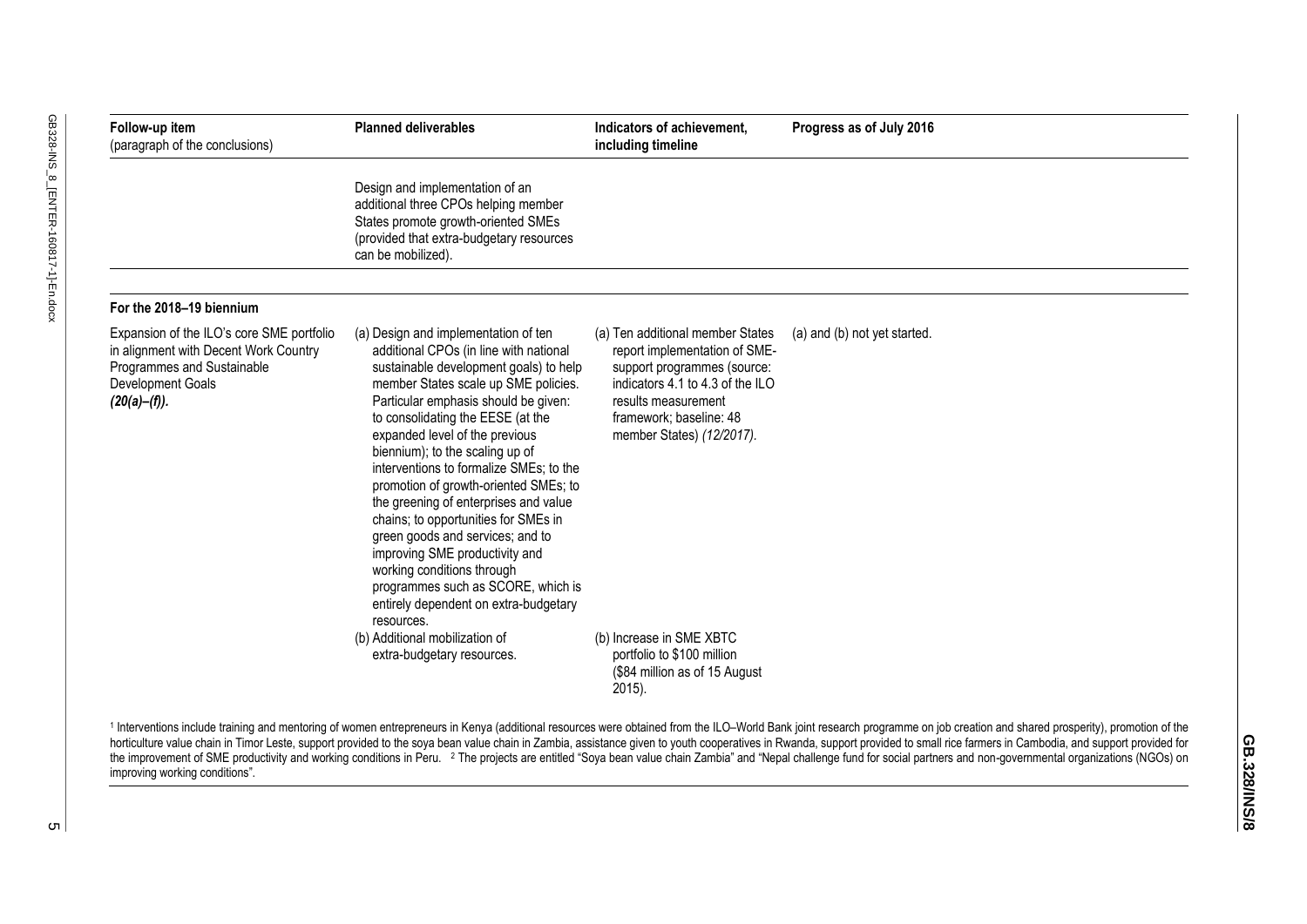| Follow-up item<br>(paragraph of the conclusions)                                                                                                      | <b>Planned deliverables</b>                                                                                                                                                                                                                                                                                                                                                                                                                                                                                                                                                                                                                                                              | Indicators of achievement,<br>including timeline                                                                                                                                                                    | Progress as of July 2016     |
|-------------------------------------------------------------------------------------------------------------------------------------------------------|------------------------------------------------------------------------------------------------------------------------------------------------------------------------------------------------------------------------------------------------------------------------------------------------------------------------------------------------------------------------------------------------------------------------------------------------------------------------------------------------------------------------------------------------------------------------------------------------------------------------------------------------------------------------------------------|---------------------------------------------------------------------------------------------------------------------------------------------------------------------------------------------------------------------|------------------------------|
|                                                                                                                                                       | Design and implementation of an<br>additional three CPOs helping member<br>States promote growth-oriented SMEs<br>(provided that extra-budgetary resources<br>can be mobilized).                                                                                                                                                                                                                                                                                                                                                                                                                                                                                                         |                                                                                                                                                                                                                     |                              |
| For the 2018-19 biennium                                                                                                                              |                                                                                                                                                                                                                                                                                                                                                                                                                                                                                                                                                                                                                                                                                          |                                                                                                                                                                                                                     |                              |
| Expansion of the ILO's core SME portfolio<br>in alignment with Decent Work Country<br>Programmes and Sustainable<br>Development Goals<br>(20(a)–(f)). | (a) Design and implementation of ten<br>additional CPOs (in line with national<br>sustainable development goals) to help<br>member States scale up SME policies.<br>Particular emphasis should be given:<br>to consolidating the EESE (at the<br>expanded level of the previous<br>biennium); to the scaling up of<br>interventions to formalize SMEs; to the<br>promotion of growth-oriented SMEs; to<br>the greening of enterprises and value<br>chains; to opportunities for SMEs in<br>green goods and services; and to<br>improving SME productivity and<br>working conditions through<br>programmes such as SCORE, which is<br>entirely dependent on extra-budgetary<br>resources. | (a) Ten additional member States<br>report implementation of SME-<br>support programmes (source:<br>indicators 4.1 to 4.3 of the ILO<br>results measurement<br>framework; baseline: 48<br>member States) (12/2017). | (a) and (b) not yet started. |
|                                                                                                                                                       | (b) Additional mobilization of<br>extra-budgetary resources.                                                                                                                                                                                                                                                                                                                                                                                                                                                                                                                                                                                                                             | (b) Increase in SME XBTC<br>portfolio to \$100 million<br>(\$84 million as of 15 August<br>$2015$ ).                                                                                                                |                              |

improving working conditions".